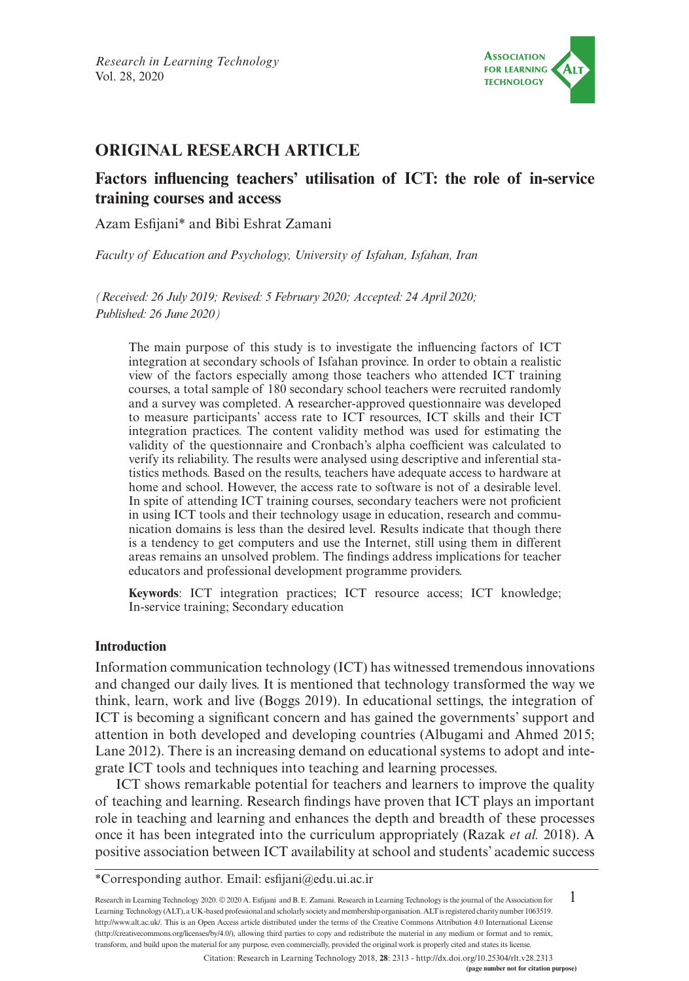

# **ORIGINAL RESEARCH ARTICLE**

## **Factors influencing teachers' utilisation of ICT: the role of in-service training courses and access**

Azam Esfijani\* and Bibi Eshrat Zamani

*Faculty of Education and Psychology, University of Isfahan, Isfahan, Iran*

*(Received: 26 July 2019; Revised: 5 February 2020; Accepted: 24 April 2020; Published: 26 June 2020)*

The main purpose of this study is to investigate the influencing factors of ICT integration at secondary schools of Isfahan province. In order to obtain a realistic view of the factors especially among those teachers who attended ICT training courses, a total sample of 180 secondary school teachers were recruited randomly and a survey was completed. A researcher-approved questionnaire was developed to measure participants' access rate to ICT resources, ICT skills and their ICT integration practices. The content validity method was used for estimating the validity of the questionnaire and Cronbach's alpha coefficient was calculated to verify its reliability. The results were analysed using descriptive and inferential statistics methods. Based on the results, teachers have adequate access to hardware at home and school. However, the access rate to software is not of a desirable level. In spite of attending ICT training courses, secondary teachers were not proficient in using ICT tools and their technology usage in education, research and communication domains is less than the desired level. Results indicate that though there is a tendency to get computers and use the Internet, still using them in different areas remains an unsolved problem. The findings address implications for teacher educators and professional development programme providers.

**Keywords**: ICT integration practices; ICT resource access; ICT knowledge; In-service training; Secondary education

### **Introduction**

Information communication technology (ICT) has witnessed tremendous innovations and changed our daily lives. It is mentioned that technology transformed the way we think, learn, work and live (Boggs 2019). In educational settings, the integration of ICT is becoming a significant concern and has gained the governments' support and attention in both developed and developing countries (Albugami and Ahmed 2015; Lane 2012). There is an increasing demand on educational systems to adopt and integrate ICT tools and techniques into teaching and learning processes.

ICT shows remarkable potential for teachers and learners to improve the quality of teaching and learning. Research findings have proven that ICT plays an important role in teaching and learning and enhances the depth and breadth of these processes once it has been integrated into the curriculum appropriately (Razak *et al.* 2018). A positive association between ICT availability at school and students' academic success

\*Corresponding author. Email: [esfijani@edu.ui.ac.ir](mailto:esfijani@edu.ui.ac.ir)

1 Research in Learning Technology 2020. © 2020 A. Esfijani and B. E. Zamani. Research in Learning Technology is the journal of the Association for Learning Technology (ALT), a UK-based professional and scholarly society and membership organisation. ALT is registered charity number 1063519. [http://www.alt.ac.uk/.](http://www.alt.ac.uk/) This is an Open Access article distributed under the terms of the Creative Commons Attribution 4.0 International License (<http://creativecommons.org/licenses/by/4.0/>), allowing third parties to copy and redistribute the material in any medium or format and to remix, transform, and build upon the material for any purpose, even commercially, provided the original work is properly cited and states its license.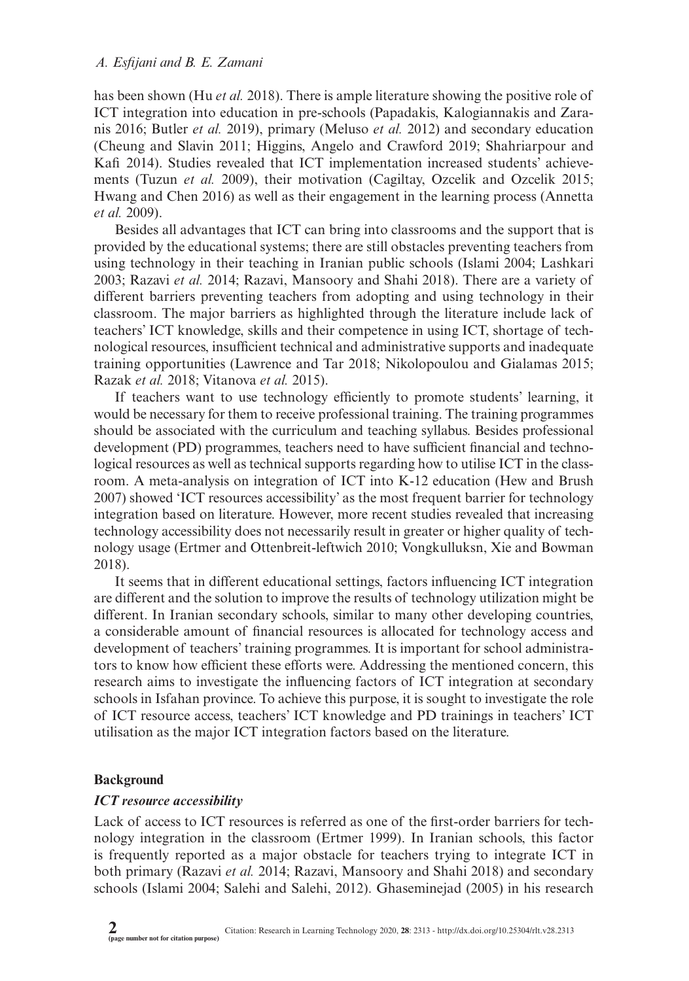has been shown (Hu *et al.* 2018). There is ample literature showing the positive role of ICT integration into education in pre-schools (Papadakis, Kalogiannakis and Zaranis 2016; Butler *et al.* 2019), primary (Meluso *et al.* 2012) and secondary education (Cheung and Slavin 2011; Higgins, Angelo and Crawford 2019; Shahriarpour and Kafi 2014). Studies revealed that ICT implementation increased students' achievements (Tuzun *et al.* 2009), their motivation (Cagiltay, Ozcelik and Ozcelik 2015; Hwang and Chen 2016) as well as their engagement in the learning process (Annetta *et al.* 2009).

Besides all advantages that ICT can bring into classrooms and the support that is provided by the educational systems; there are still obstacles preventing teachers from using technology in their teaching in Iranian public schools (Islami 2004; Lashkari 2003; Razavi *et al.* 2014; Razavi, Mansoory and Shahi 2018). There are a variety of different barriers preventing teachers from adopting and using technology in their classroom. The major barriers as highlighted through the literature include lack of teachers' ICT knowledge, skills and their competence in using ICT, shortage of technological resources, insufficient technical and administrative supports and inadequate training opportunities (Lawrence and Tar 2018; Nikolopoulou and Gialamas 2015; Razak *et al.* 2018; Vitanova *et al.* 2015).

If teachers want to use technology efficiently to promote students' learning, it would be necessary for them to receive professional training. The training programmes should be associated with the curriculum and teaching syllabus. Besides professional development (PD) programmes, teachers need to have sufficient financial and technological resources as well as technical supports regarding how to utilise ICT in the classroom. A meta-analysis on integration of ICT into K-12 education (Hew and Brush 2007) showed 'ICT resources accessibility' as the most frequent barrier for technology integration based on literature. However, more recent studies revealed that increasing technology accessibility does not necessarily result in greater or higher quality of technology usage (Ertmer and Ottenbreit-leftwich 2010; Vongkulluksn, Xie and Bowman 2018).

It seems that in different educational settings, factors influencing ICT integration are different and the solution to improve the results of technology utilization might be different. In Iranian secondary schools, similar to many other developing countries, a considerable amount of financial resources is allocated for technology access and development of teachers' training programmes. It is important for school administrators to know how efficient these efforts were. Addressing the mentioned concern, this research aims to investigate the influencing factors of ICT integration at secondary schools in Isfahan province. To achieve this purpose, it is sought to investigate the role of ICT resource access, teachers' ICT knowledge and PD trainings in teachers' ICT utilisation as the major ICT integration factors based on the literature.

### **Background**

### *ICT resource accessibility*

Lack of access to ICT resources is referred as one of the first-order barriers for technology integration in the classroom (Ertmer 1999). In Iranian schools, this factor is frequently reported as a major obstacle for teachers trying to integrate ICT in both primary (Razavi *et al.* 2014; Razavi, Mansoory and Shahi 2018) and secondary schools (Islami 2004; Salehi and Salehi, 2012). Ghaseminejad (2005) in his research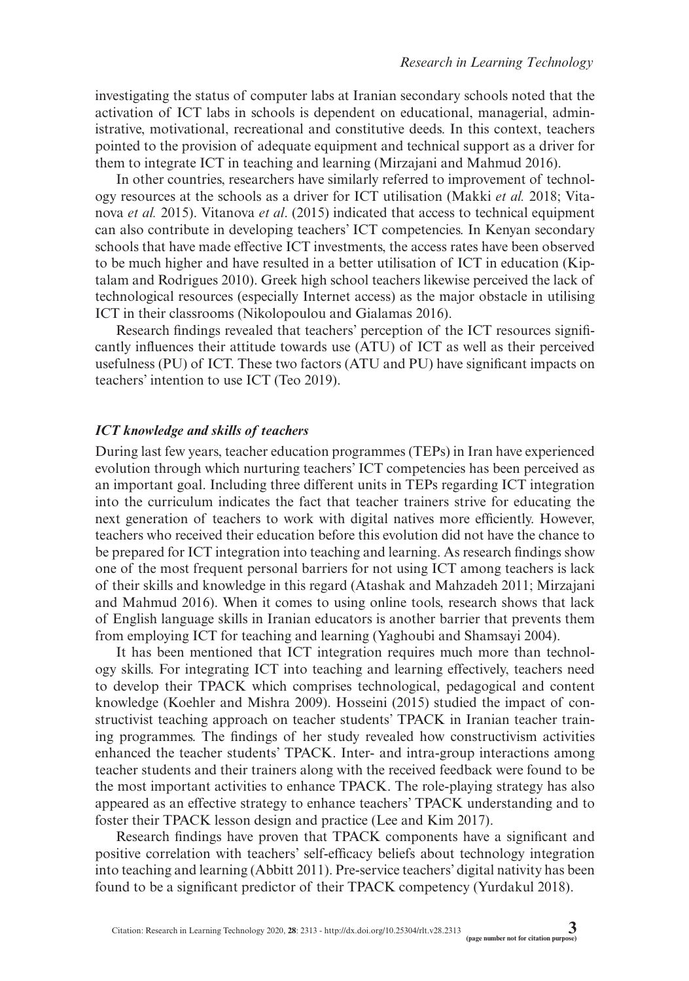investigating the status of computer labs at Iranian secondary schools noted that the activation of ICT labs in schools is dependent on educational, managerial, administrative, motivational, recreational and constitutive deeds. In this context, teachers pointed to the provision of adequate equipment and technical support as a driver for them to integrate ICT in teaching and learning (Mirzajani and Mahmud 2016).

In other countries, researchers have similarly referred to improvement of technology resources at the schools as a driver for ICT utilisation (Makki *et al.* 2018; Vitanova *et al.* 2015). Vitanova *et al*. (2015) indicated that access to technical equipment can also contribute in developing teachers' ICT competencies. In Kenyan secondary schools that have made effective ICT investments, the access rates have been observed to be much higher and have resulted in a better utilisation of ICT in education (Kiptalam and Rodrigues 2010). Greek high school teachers likewise perceived the lack of technological resources (especially Internet access) as the major obstacle in utilising ICT in their classrooms (Nikolopoulou and Gialamas 2016).

Research findings revealed that teachers' perception of the ICT resources significantly influences their attitude towards use (ATU) of ICT as well as their perceived usefulness (PU) of ICT. These two factors (ATU and PU) have significant impacts on teachers' intention to use ICT (Teo 2019).

### *ICT knowledge and skills of teachers*

During last few years, teacher education programmes (TEPs) in Iran have experienced evolution through which nurturing teachers' ICT competencies has been perceived as an important goal. Including three different units in TEPs regarding ICT integration into the curriculum indicates the fact that teacher trainers strive for educating the next generation of teachers to work with digital natives more efficiently. However, teachers who received their education before this evolution did not have the chance to be prepared for ICT integration into teaching and learning. As research findings show one of the most frequent personal barriers for not using ICT among teachers is lack of their skills and knowledge in this regard (Atashak and Mahzadeh 2011; Mirzajani and Mahmud 2016). When it comes to using online tools, research shows that lack of English language skills in Iranian educators is another barrier that prevents them from employing ICT for teaching and learning (Yaghoubi and Shamsayi 2004).

It has been mentioned that ICT integration requires much more than technology skills. For integrating ICT into teaching and learning effectively, teachers need to develop their TPACK which comprises technological, pedagogical and content knowledge (Koehler and Mishra 2009). Hosseini (2015) studied the impact of constructivist teaching approach on teacher students' TPACK in Iranian teacher training programmes. The findings of her study revealed how constructivism activities enhanced the teacher students' TPACK. Inter- and intra-group interactions among teacher students and their trainers along with the received feedback were found to be the most important activities to enhance TPACK. The role-playing strategy has also appeared as an effective strategy to enhance teachers' TPACK understanding and to foster their TPACK lesson design and practice (Lee and Kim 2017).

Research findings have proven that TPACK components have a significant and positive correlation with teachers' self-efficacy beliefs about technology integration into teaching and learning (Abbitt 2011). Pre-service teachers' digital nativity has been found to be a significant predictor of their TPACK competency (Yurdakul 2018).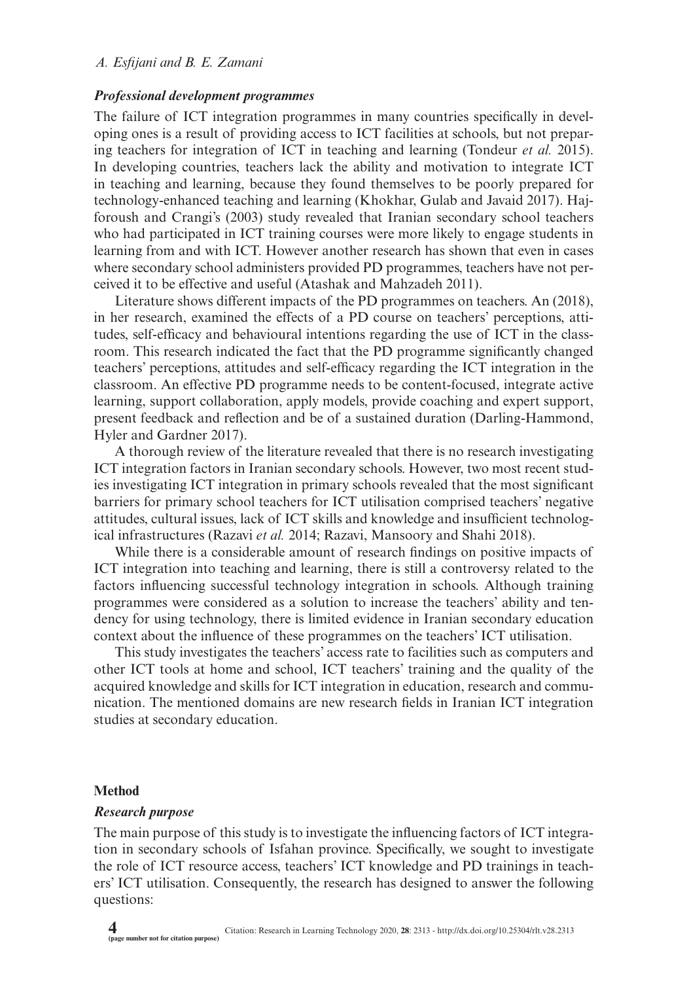## *Professional development programmes*

The failure of ICT integration programmes in many countries specifically in developing ones is a result of providing access to ICT facilities at schools, but not preparing teachers for integration of ICT in teaching and learning (Tondeur *et al.* 2015). In developing countries, teachers lack the ability and motivation to integrate ICT in teaching and learning, because they found themselves to be poorly prepared for technology-enhanced teaching and learning (Khokhar, Gulab and Javaid 2017). Hajforoush and Crangi's (2003) study revealed that Iranian secondary school teachers who had participated in ICT training courses were more likely to engage students in learning from and with ICT. However another research has shown that even in cases where secondary school administers provided PD programmes, teachers have not perceived it to be effective and useful (Atashak and Mahzadeh 2011).

Literature shows different impacts of the PD programmes on teachers. An (2018), in her research, examined the effects of a PD course on teachers' perceptions, attitudes, self-efficacy and behavioural intentions regarding the use of ICT in the classroom. This research indicated the fact that the PD programme significantly changed teachers' perceptions, attitudes and self-efficacy regarding the ICT integration in the classroom. An effective PD programme needs to be content-focused, integrate active learning, support collaboration, apply models, provide coaching and expert support, present feedback and reflection and be of a sustained duration (Darling-Hammond, Hyler and Gardner 2017).

A thorough review of the literature revealed that there is no research investigating ICT integration factors in Iranian secondary schools. However, two most recent studies investigating ICT integration in primary schools revealed that the most significant barriers for primary school teachers for ICT utilisation comprised teachers' negative attitudes, cultural issues, lack of ICT skills and knowledge and insufficient technological infrastructures (Razavi *et al.* 2014; Razavi, Mansoory and Shahi 2018).

While there is a considerable amount of research findings on positive impacts of ICT integration into teaching and learning, there is still a controversy related to the factors influencing successful technology integration in schools. Although training programmes were considered as a solution to increase the teachers' ability and tendency for using technology, there is limited evidence in Iranian secondary education context about the influence of these programmes on the teachers' ICT utilisation.

This study investigates the teachers' access rate to facilities such as computers and other ICT tools at home and school, ICT teachers' training and the quality of the acquired knowledge and skills for ICT integration in education, research and communication. The mentioned domains are new research fields in Iranian ICT integration studies at secondary education.

#### **Method**

#### *Research purpose*

The main purpose of this study is to investigate the influencing factors of ICT integration in secondary schools of Isfahan province. Specifically, we sought to investigate the role of ICT resource access, teachers' ICT knowledge and PD trainings in teachers' ICT utilisation. Consequently, the research has designed to answer the following questions: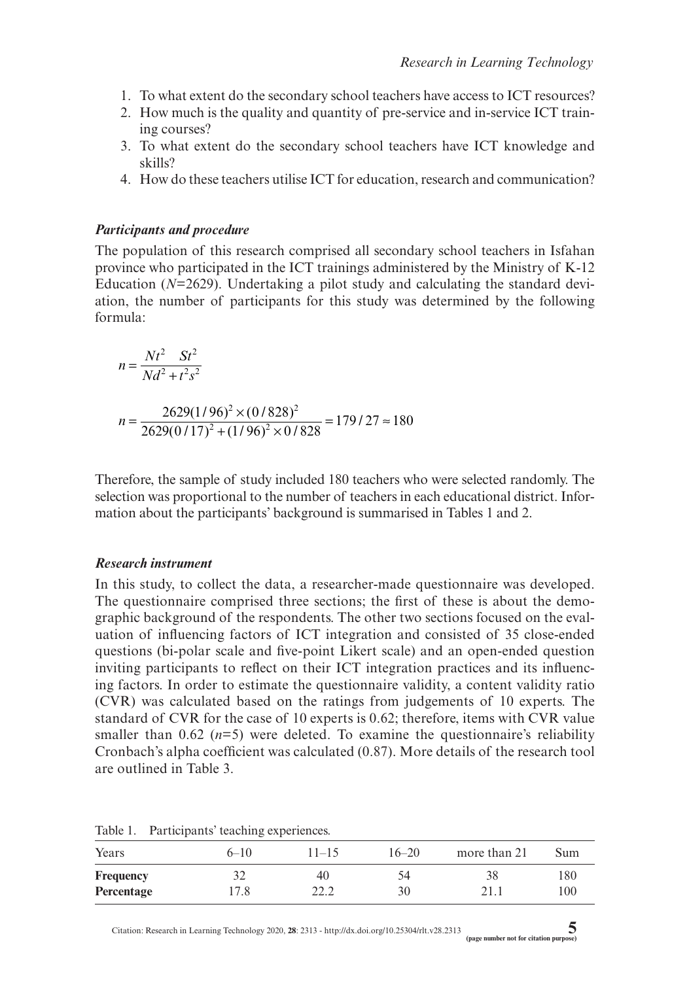- 1. To what extent do the secondary school teachers have access to ICT resources?
- 2. How much is the quality and quantity of pre-service and in-service ICT training courses?
- 3. To what extent do the secondary school teachers have ICT knowledge and skills?
- 4. How do these teachers utilise ICT for education, research and communication?

### *Participants and procedure*

The population of this research comprised all secondary school teachers in Isfahan province who participated in the ICT trainings administered by the Ministry of K-12 Education (*N*=2629). Undertaking a pilot study and calculating the standard deviation, the number of participants for this study was determined by the following formula:

$$
n = \frac{Nt^2 St^2}{Nd^2 + t^2 s^2}
$$
  

$$
n = \frac{2629(1/96)^2 \times (0/828)^2}{2629(0/17)^2 + (1/96)^2 \times 0/828} = 179/27 \approx 180
$$

Therefore, the sample of study included 180 teachers who were selected randomly. The selection was proportional to the number of teachers in each educational district. Information about the participants' background is summarised in Tables 1 and 2.

### *Research instrument*

In this study, to collect the data, a researcher-made questionnaire was developed. The questionnaire comprised three sections; the first of these is about the demographic background of the respondents. The other two sections focused on the evaluation of influencing factors of ICT integration and consisted of 35 close-ended questions (bi-polar scale and five-point Likert scale) and an open-ended question inviting participants to reflect on their ICT integration practices and its influencing factors. In order to estimate the questionnaire validity, a content validity ratio (CVR) was calculated based on the ratings from judgements of 10 experts. The standard of CVR for the case of 10 experts is 0.62; therefore, items with CVR value smaller than  $0.62$  ( $n=5$ ) were deleted. To examine the questionnaire's reliability Cronbach's alpha coefficient was calculated (0.87). More details of the research tool are outlined in Table 3.

| Years            | $6 - 10$ | $11 - 15$ | $16 - 20$ | more than 21 | Sum |
|------------------|----------|-----------|-----------|--------------|-----|
| <b>Frequency</b> |          | 40        | 54        | 38           | 180 |
| Percentage       | 17.8     | 22.2      | 30        | 21.1         | 100 |

Table 1. Participants' teaching experiences.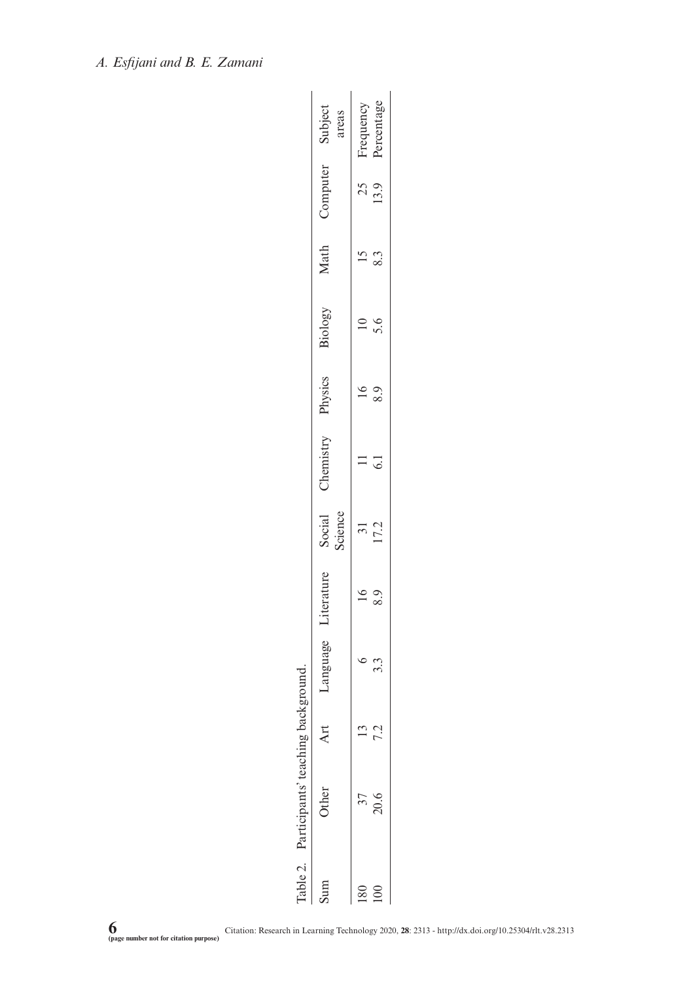| Literature<br>Language<br>Participants' teaching background. |  | Physics<br>Chemistry | Biology | Math | Computer          |
|--------------------------------------------------------------|--|----------------------|---------|------|-------------------|
|                                                              |  |                      |         |      | Social<br>Science |
|                                                              |  |                      |         |      |                   |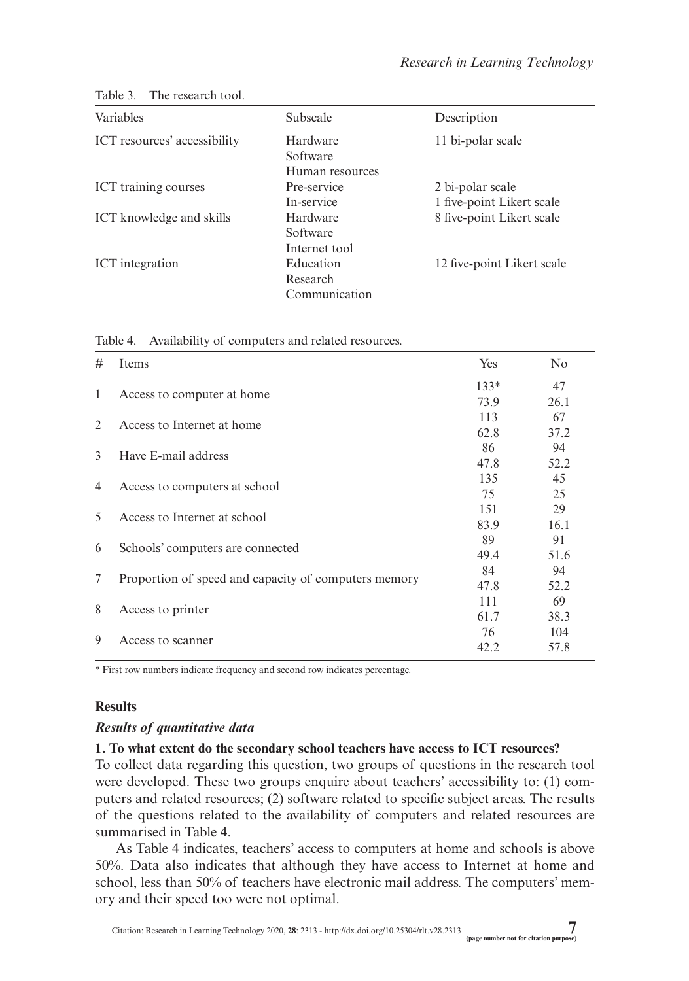| Variables                    | Subscale        | Description                |
|------------------------------|-----------------|----------------------------|
| ICT resources' accessibility | Hardware        | 11 bi-polar scale          |
|                              | Software        |                            |
|                              | Human resources |                            |
| ICT training courses         | Pre-service     | 2 bi-polar scale           |
|                              | In-service      | 1 five-point Likert scale  |
| ICT knowledge and skills     | Hardware        | 8 five-point Likert scale  |
|                              | Software        |                            |
|                              | Internet tool   |                            |
| ICT integration              | Education       | 12 five-point Likert scale |
|                              | Research        |                            |
|                              | Communication   |                            |

Table 3. The research tool.

| Table 4. |  | Availability of computers and related resources. |  |  |
|----------|--|--------------------------------------------------|--|--|
|----------|--|--------------------------------------------------|--|--|

| #                                               | Items                                                | Yes    | N <sub>0</sub> |
|-------------------------------------------------|------------------------------------------------------|--------|----------------|
| 1                                               |                                                      | $133*$ | 47             |
|                                                 | Access to computer at home                           | 73.9   | 26.1           |
| 2                                               | Access to Internet at home                           | 113    | 67             |
|                                                 |                                                      | 62.8   | 37.2           |
| $\mathcal{E}$                                   | Have E-mail address                                  | 86     | 94             |
|                                                 |                                                      | 47.8   | 52.2           |
|                                                 |                                                      | 135    | 45             |
| Access to computers at school<br>$\overline{4}$ | 75                                                   | 25     |                |
| 5                                               | Access to Internet at school                         | 151    | 29             |
|                                                 |                                                      | 83.9   | 16.1           |
| 6                                               | Schools' computers are connected                     | 89     | 91             |
|                                                 |                                                      | 49.4   | 51.6           |
| 7                                               |                                                      | 84     | 94             |
|                                                 | Proportion of speed and capacity of computers memory | 47.8   | 52.2           |
| 8                                               |                                                      | 111    | 69             |
|                                                 | Access to printer                                    | 61.7   | 38.3           |
| 9                                               | Access to scanner                                    | 76     | 104            |
|                                                 |                                                      | 42.2   | 57.8           |

\* First row numbers indicate frequency and second row indicates percentage.

## **Results**

### *Results of quantitative data*

## **1. To what extent do the secondary school teachers have access to ICT resources?**

To collect data regarding this question, two groups of questions in the research tool were developed. These two groups enquire about teachers' accessibility to: (1) computers and related resources; (2) software related to specific subject areas. The results of the questions related to the availability of computers and related resources are summarised in Table 4.

As Table 4 indicates, teachers' access to computers at home and schools is above 50%. Data also indicates that although they have access to Internet at home and school, less than 50% of teachers have electronic mail address. The computers' memory and their speed too were not optimal.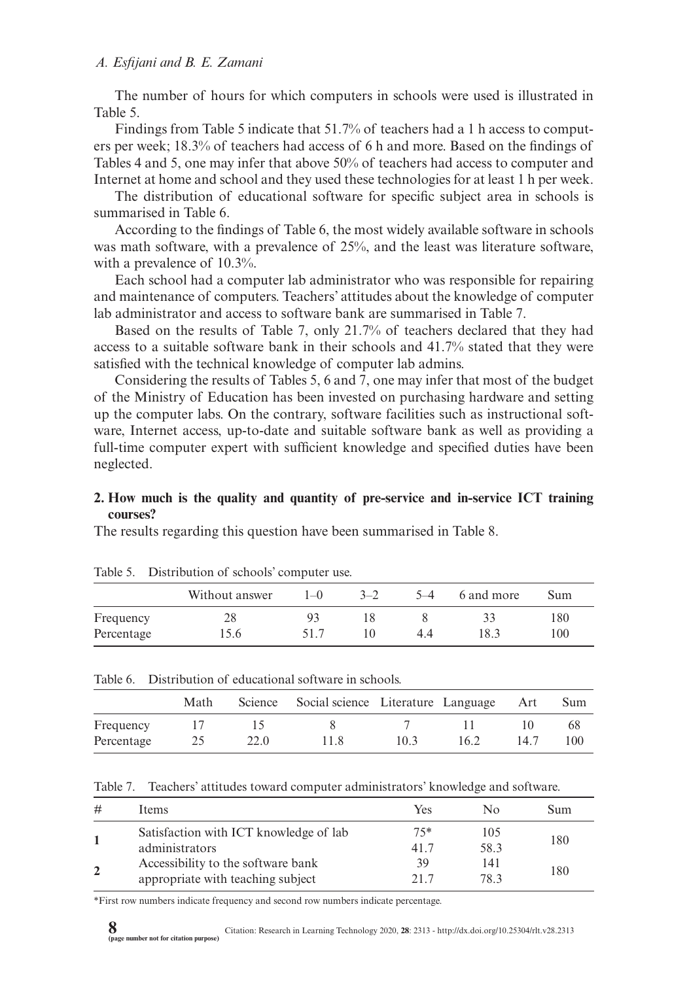The number of hours for which computers in schools were used is illustrated in Table 5.

Findings from Table 5 indicate that 51.7% of teachers had a 1 h access to computers per week; 18.3% of teachers had access of 6 h and more. Based on the findings of Tables 4 and 5, one may infer that above 50% of teachers had access to computer and Internet at home and school and they used these technologies for at least 1 h per week.

The distribution of educational software for specific subject area in schools is summarised in Table 6.

According to the findings of Table 6, the most widely available software in schools was math software, with a prevalence of 25%, and the least was literature software, with a prevalence of 10.3%.

Each school had a computer lab administrator who was responsible for repairing and maintenance of computers. Teachers' attitudes about the knowledge of computer lab administrator and access to software bank are summarised in Table 7.

Based on the results of Table 7, only 21.7% of teachers declared that they had access to a suitable software bank in their schools and 41.7% stated that they were satisfied with the technical knowledge of computer lab admins.

Considering the results of Tables 5, 6 and 7, one may infer that most of the budget of the Ministry of Education has been invested on purchasing hardware and setting up the computer labs. On the contrary, software facilities such as instructional software, Internet access, up-to-date and suitable software bank as well as providing a full-time computer expert with sufficient knowledge and specified duties have been neglected.

### **2. How much is the quality and quantity of pre-service and in-service ICT training courses?**

The results regarding this question have been summarised in Table 8.

|            | rable 5. Distribution of senoofs computer use. |       |         |         |            |     |  |
|------------|------------------------------------------------|-------|---------|---------|------------|-----|--|
|            | Without answer                                 | $1-0$ | $3 - 7$ | $5 - 4$ | 6 and more | Sum |  |
| Frequency  | 28                                             |       | ΙX      |         | 33         | 180 |  |
| Percentage | 15.6                                           | 517   | 10      | 4.4     | 18.3       | 100 |  |

Table 5. Distribution of schools' computer use.

| Table 6. Distribution of educational software in schools. |  |  |  |
|-----------------------------------------------------------|--|--|--|
|                                                           |  |  |  |

|            | Math |      | Science Social science Literature Language Art |      |      |      | Sum |
|------------|------|------|------------------------------------------------|------|------|------|-----|
| Frequency  |      |      |                                                |      |      |      | 68  |
| Percentage |      | 22.0 | 11.8                                           | 10.3 | 16.2 | 14.7 | 100 |

Table 7. Teachers' attitudes toward computer administrators' knowledge and software.

| #              | Items                                                                   | Yes           | N٥          | Sum |
|----------------|-------------------------------------------------------------------------|---------------|-------------|-----|
|                | Satisfaction with ICT knowledge of lab<br>administrators                | $75*$<br>41.7 | 105<br>58.3 | 180 |
| $\overline{2}$ | Accessibility to the software bank<br>appropriate with teaching subject | 39<br>217     | 141<br>78.3 | 180 |

\*First row numbers indicate frequency and second row numbers indicate percentage.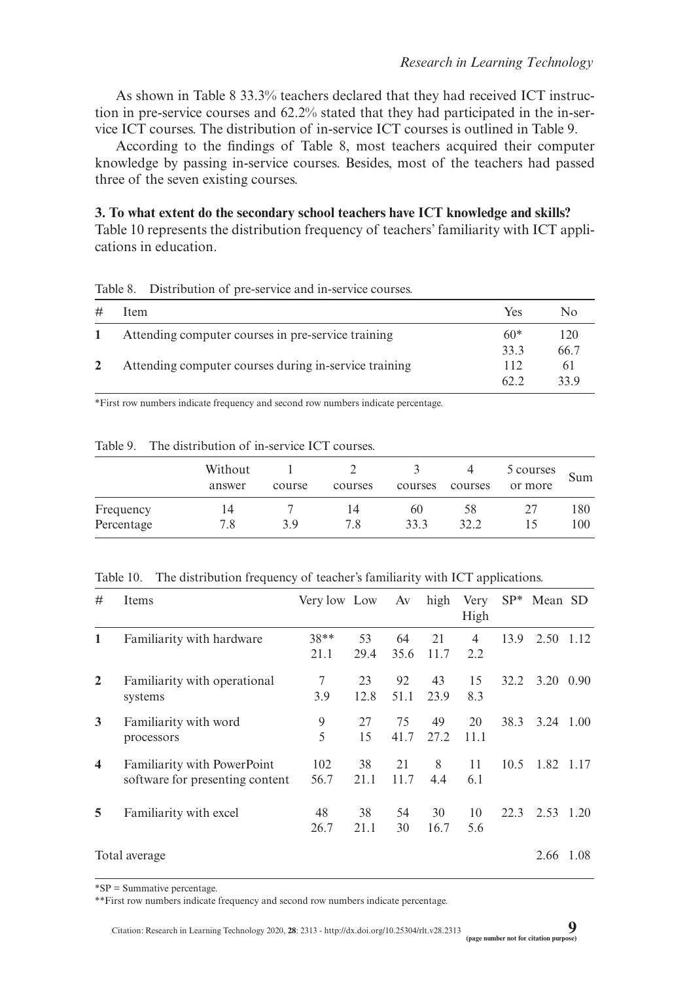As shown in Table 8 33.3% teachers declared that they had received ICT instruction in pre-service courses and 62.2% stated that they had participated in the in-service ICT courses. The distribution of in-service ICT courses is outlined in Table 9.

According to the findings of Table 8, most teachers acquired their computer knowledge by passing in-service courses. Besides, most of the teachers had passed three of the seven existing courses.

**3. To what extent do the secondary school teachers have ICT knowledge and skills?** Table 10 represents the distribution frequency of teachers' familiarity with ICT applications in education.

| Distribution of pre-service and in-service courses. | Table 8. |  |  |  |  |  |
|-----------------------------------------------------|----------|--|--|--|--|--|
|-----------------------------------------------------|----------|--|--|--|--|--|

| # | Item                                                  | Yes   | Nο   |
|---|-------------------------------------------------------|-------|------|
|   | Attending computer courses in pre-service training    | $60*$ | 120  |
|   |                                                       | 33.3  | 66.7 |
|   | Attending computer courses during in-service training | 112   | 61   |
|   |                                                       | 62.2  | 33.9 |

\*First row numbers indicate frequency and second row numbers indicate percentage.

|                         | Without<br>answer | course | courses   | courses    | courses    | 5 courses<br>or more | Sum        |
|-------------------------|-------------------|--------|-----------|------------|------------|----------------------|------------|
| Frequency<br>Percentage | 14<br>7.8         | 3.9    | 14<br>7.8 | 60<br>33.3 | 58<br>32.2 | 15                   | 180<br>100 |

Table 9. The distribution of in-service ICT courses.

#### Table 10. The distribution frequency of teacher's familiarity with ICT applications.

| #                       | Items                                                                 | Very low Low   |            | Av         | high       | Very<br>High |      | $SP^*$ Mean SD    |      |
|-------------------------|-----------------------------------------------------------------------|----------------|------------|------------|------------|--------------|------|-------------------|------|
| 1                       | Familiarity with hardware                                             | $38**$<br>21.1 | 53<br>29.4 | 64<br>35.6 | 21<br>11.7 | 4<br>2.2     | 13.9 | 2.50              | 1.12 |
| $\overline{2}$          | Familiarity with operational<br>systems                               | 7<br>3.9       | 23<br>12.8 | 92<br>51.1 | 43<br>23.9 | 15<br>8.3    | 32.2 | $3.20 \quad 0.90$ |      |
| 3                       | Familiarity with word<br>processors                                   | 9<br>5         | 27<br>15   | 75<br>41.7 | 49<br>27.2 | 20<br>11.1   | 38.3 | $3.24$ 1.00       |      |
| $\overline{\mathbf{4}}$ | <b>Familiarity with PowerPoint</b><br>software for presenting content | 102<br>56.7    | 38<br>21.1 | 21<br>11.7 | 8<br>4.4   | 11<br>6.1    | 10.5 | 1.82 1.17         |      |
| 5                       | Familiarity with excel                                                | 48<br>26.7     | 38<br>21.1 | 54<br>30   | 30<br>16.7 | 10<br>5.6    | 22.3 | 2.53 1.20         |      |
|                         | Total average                                                         |                |            |            |            |              |      | 2.66              | 1.08 |

\*SP = Summative percentage.

\*\*First row numbers indicate frequency and second row numbers indicate percentage.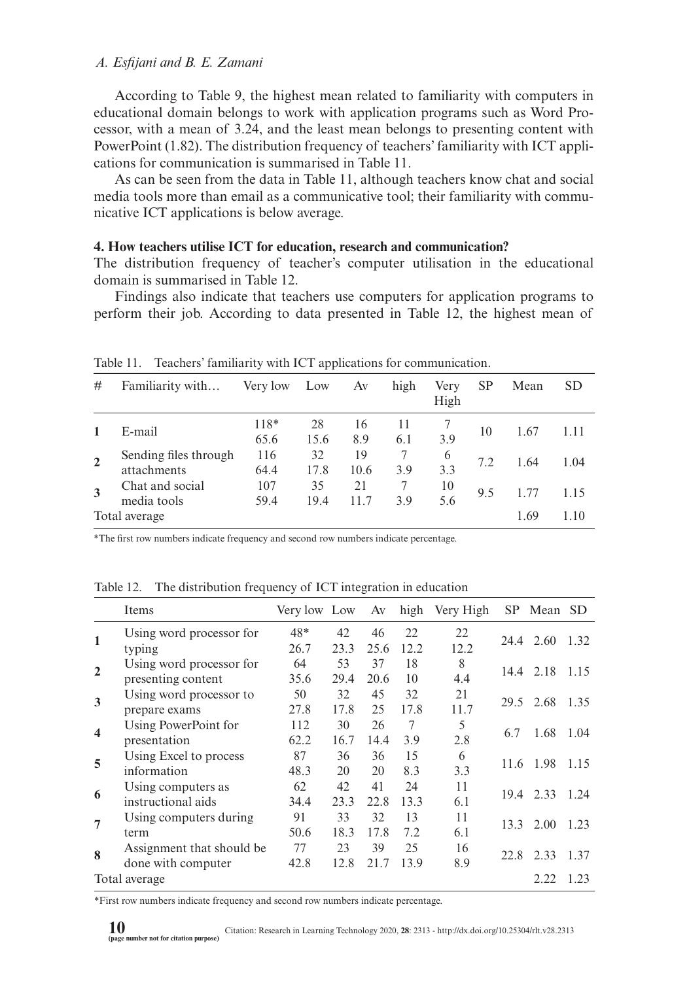According to Table 9, the highest mean related to familiarity with computers in educational domain belongs to work with application programs such as Word Processor, with a mean of 3.24, and the least mean belongs to presenting content with PowerPoint (1.82). The distribution frequency of teachers' familiarity with ICT applications for communication is summarised in Table 11.

As can be seen from the data in Table 11, although teachers know chat and social media tools more than email as a communicative tool; their familiarity with communicative ICT applications is below average.

## **4. How teachers utilise ICT for education, research and communication?**

The distribution frequency of teacher's computer utilisation in the educational domain is summarised in Table 12.

Findings also indicate that teachers use computers for application programs to perform their job. According to data presented in Table 12, the highest mean of

| #              | Familiarity with                     | Very low     | Low        | Av         | high      | Very<br>High | SP  | Mean | <b>SD</b> |
|----------------|--------------------------------------|--------------|------------|------------|-----------|--------------|-----|------|-----------|
| 1              | E-mail                               | 118*<br>65.6 | 28<br>15.6 | 16<br>8.9  | 11<br>6.1 | 3.9          | 10  | 1.67 | 1.11      |
| $\overline{2}$ | Sending files through<br>attachments | 116<br>64.4  | 32<br>17.8 | 19<br>10.6 | 7<br>3.9  | 6<br>3.3     | 7.2 | 1.64 | 1.04      |
| 3              | Chat and social<br>media tools       | 107<br>59.4  | 35<br>19.4 | 21<br>11.7 | 3.9       | 10<br>5.6    | 9.5 |      | 1.15      |
|                | Total average                        |              |            |            |           |              |     | 1.69 | 1.10      |

Table 11. Teachers' familiarity with ICT applications for communication.

\*The first row numbers indicate frequency and second row numbers indicate percentage.

Table 12. The distribution frequency of ICT integration in education

|                  | Items                     | Very low Low |      | Av   |      | high Very High | SP. | Mean SD        |      |
|------------------|---------------------------|--------------|------|------|------|----------------|-----|----------------|------|
|                  | Using word processor for  | 48*          | 42   | 46   | 22   | 22             |     | 24.4 2.60      | 1.32 |
| 1                | typing                    | 26.7         | 23.3 | 25.6 | 12.2 | 12.2           |     |                |      |
| $\mathbf{2}$     | Using word processor for  | 64           | 53   | 37   | 18   | 8              |     | 14.4 2.18 1.15 |      |
|                  | presenting content        | 35.6         | 29.4 | 20.6 | 10   | 4.4            |     |                |      |
| 3                | Using word processor to   | 50           | 32   | 45   | 32   | 21             |     | 29.5 2.68      | 1.35 |
|                  | prepare exams             | 27.8         | 17.8 | 25   | 17.8 | 11.7           |     |                |      |
| $\boldsymbol{4}$ | Using PowerPoint for      | 112          | 30   | 26   | 7    | 5              | 6.7 | 1.68           | 1.04 |
|                  | presentation              | 62.2         | 16.7 | 14.4 | 3.9  | 2.8            |     |                |      |
| 5                | Using Excel to process    | 87           | 36   | 36   | 15   | 6              |     | 11.6 1.98      | 1.15 |
|                  | information               | 48.3         | 20   | 20   | 8.3  | 3.3            |     |                |      |
| 6                | Using computers as        | 62           | 42   | 41   | 24   | 11             |     | 19.4 2.33      | 1.24 |
|                  | instructional aids        | 34.4         | 23.3 | 22.8 | 13.3 | 6.1            |     |                |      |
| 7                | Using computers during    | 91           | 33   | 32   | 13   | 11             |     | 13.3 2.00      | 1.23 |
|                  | term                      | 50.6         | 18.3 | 17.8 | 7.2  | 6.1            |     |                |      |
| $\bf{R}$         | Assignment that should be | 77           | 23   | 39   | 25   | 16             |     | 22.8 2.33      | 1.37 |
|                  | done with computer        | 42.8         | 12.8 | 21.7 | 13.9 | 8.9            |     |                |      |
|                  | Total average             |              |      |      |      |                |     | 2.22           | 1.23 |

\*First row numbers indicate frequency and second row numbers indicate percentage.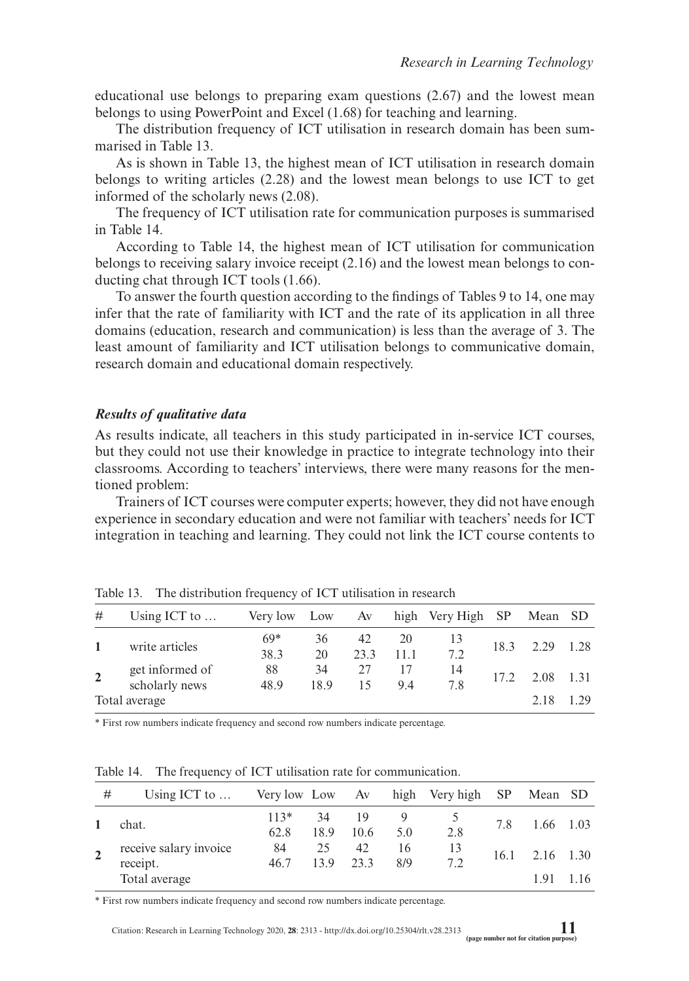educational use belongs to preparing exam questions (2.67) and the lowest mean belongs to using PowerPoint and Excel (1.68) for teaching and learning.

The distribution frequency of ICT utilisation in research domain has been summarised in Table 13.

As is shown in Table 13, the highest mean of ICT utilisation in research domain belongs to writing articles (2.28) and the lowest mean belongs to use ICT to get informed of the scholarly news (2.08).

The frequency of ICT utilisation rate for communication purposes is summarised in Table 14.

According to Table 14, the highest mean of ICT utilisation for communication belongs to receiving salary invoice receipt (2.16) and the lowest mean belongs to conducting chat through ICT tools (1.66).

To answer the fourth question according to the findings of Tables 9 to 14, one may infer that the rate of familiarity with ICT and the rate of its application in all three domains (education, research and communication) is less than the average of 3. The least amount of familiarity and ICT utilisation belongs to communicative domain, research domain and educational domain respectively.

#### *Results of qualitative data*

As results indicate, all teachers in this study participated in in-service ICT courses, but they could not use their knowledge in practice to integrate technology into their classrooms. According to teachers' interviews, there were many reasons for the mentioned problem:

Trainers of ICT courses were computer experts; however, they did not have enough experience in secondary education and were not familiar with teachers' needs for ICT integration in teaching and learning. They could not link the ICT course contents to

| #              | Using ICT to $\dots$              | Very low      | Low        | Av         |            | high Very High SP |      | Mean SD |      |
|----------------|-----------------------------------|---------------|------------|------------|------------|-------------------|------|---------|------|
|                | write articles                    | $69*$<br>38.3 | 36<br>20   | 42<br>23.3 | 20<br>11.1 | 13<br>7.2         | 18.3 | 2.29    | 1.28 |
| $\overline{2}$ | get informed of<br>scholarly news | 88<br>48.9    | 34<br>18.9 | 27<br>15   | 94         | 14<br>7.8         | 17.2 | 2.08    | 1.31 |
|                | Total average                     |               |            |            |            |                   |      | 2.18    | 1 29 |

Table 13. The distribution frequency of ICT utilisation in research

\* First row numbers indicate frequency and second row numbers indicate percentage.

Table 14. The frequency of ICT utilisation rate for communication.

| #              | Using ICT to $\dots$                                | Very low Low Av |               |            |           | high Very high SP |     | Mean SD                      |       |
|----------------|-----------------------------------------------------|-----------------|---------------|------------|-----------|-------------------|-----|------------------------------|-------|
|                | chat.                                               | $113*$<br>62.8  | 34 19<br>18.9 | 10.6       | 5.0       | 2.8               | 7.8 | 1.66 1.03                    |       |
| $\overline{2}$ | receive salary invoice<br>receipt.<br>Total average | 84<br>46.7      | 25<br>13.9    | 42<br>23.3 | 16<br>8/9 | 13<br>7.2         |     | $16.1$ $2.16$ $1.30$<br>1.91 | 1 1 6 |

\* First row numbers indicate frequency and second row numbers indicate percentage.

Citation: Research in Learning Technology 2020, **28**: 2313 -<http://dx.doi.org/10.25304/rlt.v28.2313> **11 (page number not for citation purpose)**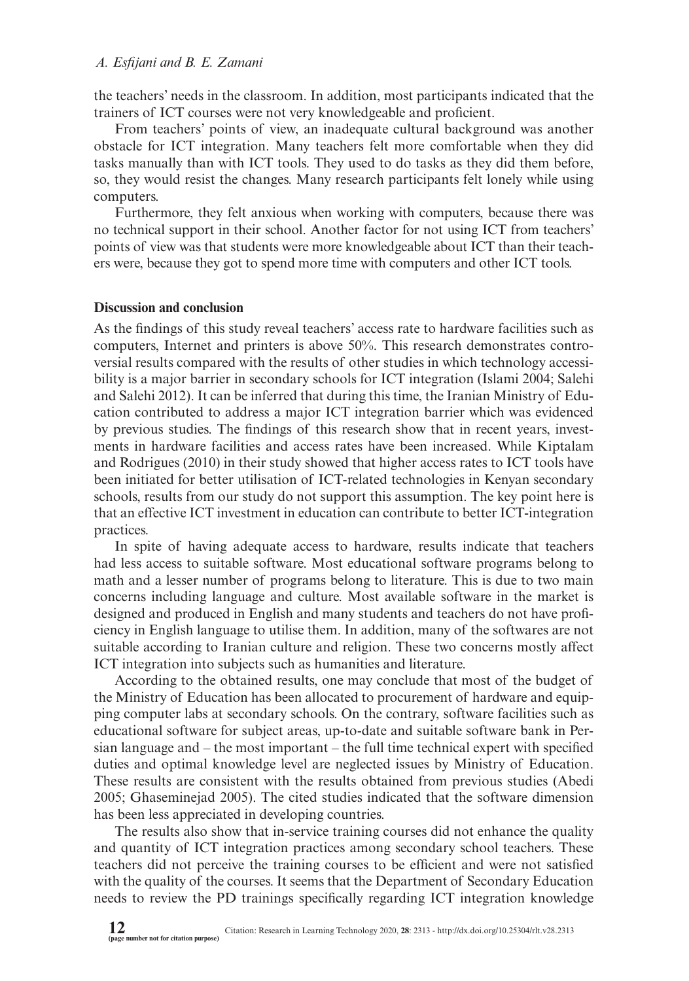the teachers' needs in the classroom. In addition, most participants indicated that the trainers of ICT courses were not very knowledgeable and proficient.

From teachers' points of view, an inadequate cultural background was another obstacle for ICT integration. Many teachers felt more comfortable when they did tasks manually than with ICT tools. They used to do tasks as they did them before, so, they would resist the changes. Many research participants felt lonely while using computers.

Furthermore, they felt anxious when working with computers, because there was no technical support in their school. Another factor for not using ICT from teachers' points of view was that students were more knowledgeable about ICT than their teachers were, because they got to spend more time with computers and other ICT tools.

#### **Discussion and conclusion**

As the findings of this study reveal teachers' access rate to hardware facilities such as computers, Internet and printers is above 50%. This research demonstrates controversial results compared with the results of other studies in which technology accessibility is a major barrier in secondary schools for ICT integration (Islami 2004; Salehi and Salehi 2012). It can be inferred that during this time, the Iranian Ministry of Education contributed to address a major ICT integration barrier which was evidenced by previous studies. The findings of this research show that in recent years, investments in hardware facilities and access rates have been increased. While Kiptalam and Rodrigues (2010) in their study showed that higher access rates to ICT tools have been initiated for better utilisation of ICT-related technologies in Kenyan secondary schools, results from our study do not support this assumption. The key point here is that an effective ICT investment in education can contribute to better ICT-integration practices.

In spite of having adequate access to hardware, results indicate that teachers had less access to suitable software. Most educational software programs belong to math and a lesser number of programs belong to literature. This is due to two main concerns including language and culture. Most available software in the market is designed and produced in English and many students and teachers do not have proficiency in English language to utilise them. In addition, many of the softwares are not suitable according to Iranian culture and religion. These two concerns mostly affect ICT integration into subjects such as humanities and literature.

According to the obtained results, one may conclude that most of the budget of the Ministry of Education has been allocated to procurement of hardware and equipping computer labs at secondary schools. On the contrary, software facilities such as educational software for subject areas, up-to-date and suitable software bank in Persian language and – the most important – the full time technical expert with specified duties and optimal knowledge level are neglected issues by Ministry of Education. These results are consistent with the results obtained from previous studies (Abedi 2005; Ghaseminejad 2005). The cited studies indicated that the software dimension has been less appreciated in developing countries.

The results also show that in-service training courses did not enhance the quality and quantity of ICT integration practices among secondary school teachers. These teachers did not perceive the training courses to be efficient and were not satisfied with the quality of the courses. It seems that the Department of Secondary Education needs to review the PD trainings specifically regarding ICT integration knowledge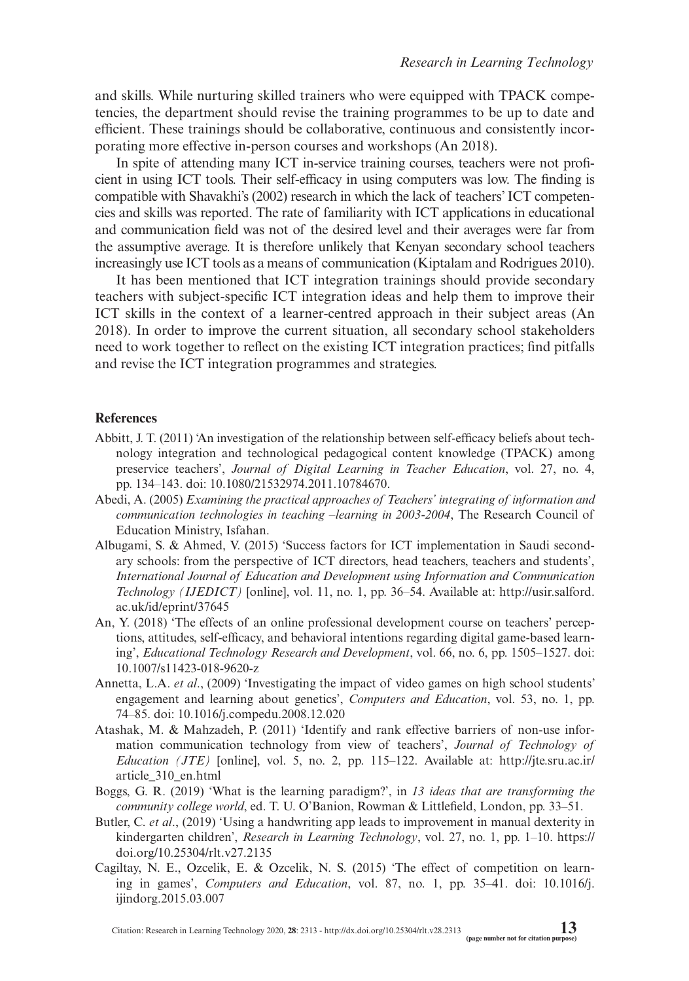and skills. While nurturing skilled trainers who were equipped with TPACK competencies, the department should revise the training programmes to be up to date and efficient. These trainings should be collaborative, continuous and consistently incorporating more effective in-person courses and workshops (An 2018).

In spite of attending many ICT in-service training courses, teachers were not proficient in using ICT tools. Their self-efficacy in using computers was low. The finding is compatible with Shavakhi's (2002) research in which the lack of teachers' ICT competencies and skills was reported. The rate of familiarity with ICT applications in educational and communication field was not of the desired level and their averages were far from the assumptive average. It is therefore unlikely that Kenyan secondary school teachers increasingly use ICT tools as a means of communication (Kiptalam and Rodrigues 2010).

It has been mentioned that ICT integration trainings should provide secondary teachers with subject-specific ICT integration ideas and help them to improve their ICT skills in the context of a learner-centred approach in their subject areas (An 2018). In order to improve the current situation, all secondary school stakeholders need to work together to reflect on the existing ICT integration practices; find pitfalls and revise the ICT integration programmes and strategies.

#### **References**

- Abbitt, J. T. (2011) 'An investigation of the relationship between self-efficacy beliefs about technology integration and technological pedagogical content knowledge (TPACK) among preservice teachers', *Journal of Digital Learning in Teacher Education*, vol. 27, no. 4, pp. 134–143. [doi: 10.1080/21532974.2011.10784670](http://dx.doi.org/10.1080/21532974.2011.10784670).
- Abedi, A. (2005) *Examining the practical approaches of Teachers' integrating of information and communication technologies in teaching –learning in 2003-2004*, The Research Council of Education Ministry, Isfahan.
- Albugami, S. & Ahmed, V. (2015) 'Success factors for ICT implementation in Saudi secondary schools: from the perspective of ICT directors, head teachers, teachers and students', *International Journal of Education and Development using Information and Communication Technology (IJEDICT)* [online], vol. 11, no. 1, pp. 36–54. Available at: [http://usir.salford.](http://usir.salford.ac.uk/id/eprint/37645) [ac.uk/id/eprint/37645](http://usir.salford.ac.uk/id/eprint/37645)
- An, Y. (2018) 'The effects of an online professional development course on teachers' perceptions, attitudes, self-efficacy, and behavioral intentions regarding digital game-based learning', *Educational Technology Research and Development*, vol. 66, no. 6, pp. 1505–1527. [doi:](http://dx.doi.org/10.1007/s11423-018-9620-z) [10.1007/s11423-018-9620-z](http://dx.doi.org/10.1007/s11423-018-9620-z)
- Annetta, L.A. *et al*., (2009) 'Investigating the impact of video games on high school students' engagement and learning about genetics', *Computers and Education*, vol. 53, no. 1, pp. 74–85. [doi: 10.1016/j.compedu.2008.12.020](http://dx.doi.org/10.1016/j.compedu.2008.12.020)
- Atashak, M. & Mahzadeh, P. (2011) 'Identify and rank effective barriers of non-use information communication technology from view of teachers', *Journal of Technology of Education (JTE)* [online], vol. 5, no. 2, pp. 115–122. Available at: [http://jte.sru.ac.ir/](http://jte.sru.ac.ir/article_310_en.html) [article\\_310\\_en.html](http://jte.sru.ac.ir/article_310_en.html)
- Boggs, G. R. (2019) 'What is the learning paradigm?', in *13 ideas that are transforming the community college world*, ed. T. U. O'Banion, Rowman & Littlefield, London, pp. 33–51.
- Butler, C. *et al*., (2019) 'Using a handwriting app leads to improvement in manual dexterity in kindergarten children', *Research in Learning Technology*, vol. 27, no. 1, pp. 1–10. [https://](https://doi.org/10.25304/rlt.v27.2135) [doi.org/10.25304/rlt.v27.2135](https://doi.org/10.25304/rlt.v27.2135)
- Cagiltay, N. E., Ozcelik, E. & Ozcelik, N. S. (2015) 'The effect of competition on learning in games', *Computers and Education*, vol. 87, no. 1, pp. 35–41. [doi: 10.1016/j.](http://dx.doi.org/10.1016/j.ijindorg.2015.03.007) [ijindorg.2015.03.007](http://dx.doi.org/10.1016/j.ijindorg.2015.03.007)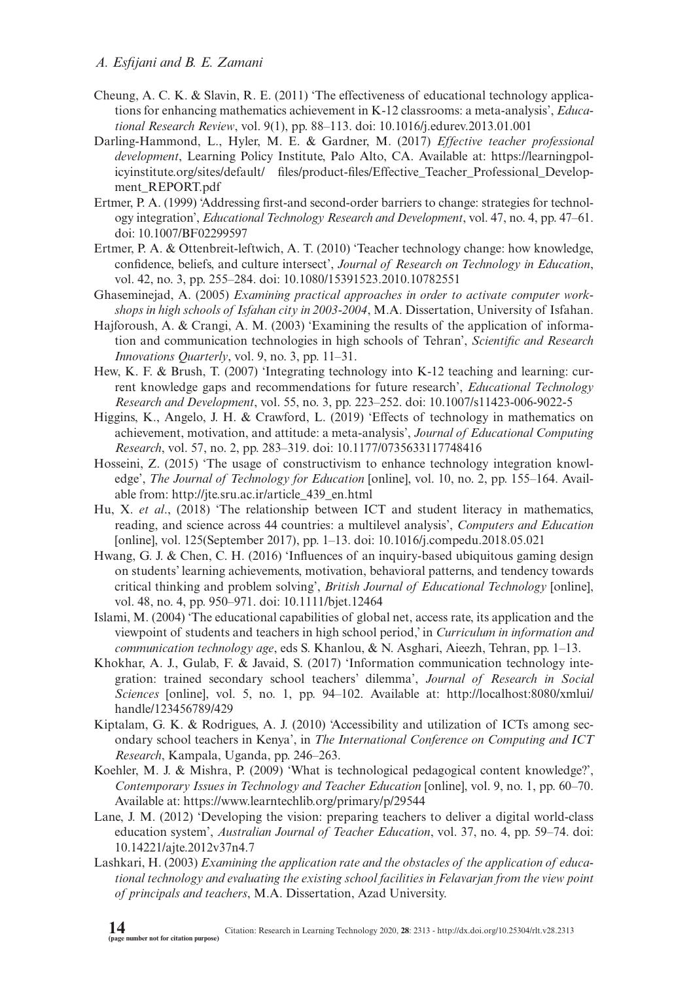- Cheung, A. C. K. & Slavin, R. E. (2011) 'The effectiveness of educational technology applications for enhancing mathematics achievement in K-12 classrooms: a meta-analysis', *Educational Research Review*, vol. 9(1), pp. 88–113. [doi: 10.1016/j.edurev.2013.01.001](http://dx.doi.org/10.1016/j.edurev.2013.01.001)
- Darling-Hammond, L., Hyler, M. E. & Gardner, M. (2017) *Effective teacher professional development*, Learning Policy Institute, Palo Alto, CA. Available at: [https://learningpol](https://learningpolicyinstitute.org/sites/default/)[icyinstitute.org/sites/default/](https://learningpolicyinstitute.org/sites/default/) files/product-files/Effective\_Teacher\_Professional\_Development\_REPORT.pdf
- Ertmer, P. A. (1999) 'Addressing first-and second-order barriers to change: strategies for technology integration', *Educational Technology Research and Development*, vol. 47, no. 4, pp. 47–61. doi: [10.1007/BF02299597](http://dx.doi.org/10.1007/BF02299597)
- Ertmer, P. A. & Ottenbreit-leftwich, A. T. (2010) 'Teacher technology change: how knowledge, confidence, beliefs, and culture intersect', *Journal of Research on Technology in Education*, vol. 42, no. 3, pp. 255–284. [doi: 10.1080/15391523.2010.10782551](http://dx.doi.org/10.1080/15391523.2010.10782551)
- Ghaseminejad, A. (2005) *Examining practical approaches in order to activate computer workshops in high schools of Isfahan city in 2003-2004*, M.A. Dissertation, University of Isfahan.
- Hajforoush, A. & Crangi, A. M. (2003) 'Examining the results of the application of information and communication technologies in high schools of Tehran', *Scientific and Research Innovations Quarterly*, vol. 9, no. 3, pp. 11–31.
- Hew, K. F. & Brush, T. (2007) 'Integrating technology into K-12 teaching and learning: current knowledge gaps and recommendations for future research', *Educational Technology Research and Development*, vol. 55, no. 3, pp. 223–252. [doi: 10.1007/s11423-006-9022-5](http://dx.doi.org/10.1007/s11423-006-9022-5)
- Higgins, K., Angelo, J. H. & Crawford, L. (2019) 'Effects of technology in mathematics on achievement, motivation, and attitude: a meta-analysis', *Journal of Educational Computing Research*, vol. 57, no. 2, pp. 283–319. [doi: 10.1177/0735633117748416](http://dx.doi.org/10.1177/0735633117748416)
- Hosseini, Z. (2015) 'The usage of constructivism to enhance technology integration knowledge', *The Journal of Technology for Education* [online], vol. 10, no. 2, pp. 155–164. Available from: [http://jte.sru.ac.ir/article\\_439\\_en.html](http://jte.sru.ac.ir/article_439_en.html)
- Hu, X. *et al*., (2018) 'The relationship between ICT and student literacy in mathematics, reading, and science across 44 countries: a multilevel analysis', *Computers and Education* [online], vol. 125(September 2017), pp. 1–13. [doi: 10.1016/j.compedu.2018.05.021](http://dx.doi.org/10.1016/j.compedu.2018.05.021)
- Hwang, G. J. & Chen, C. H. (2016) 'Influences of an inquiry-based ubiquitous gaming design on students' learning achievements, motivation, behavioral patterns, and tendency towards critical thinking and problem solving', *British Journal of Educational Technology* [online], vol. 48, no. 4, pp. 950–971. [doi: 10.1111/bjet.12464](http://dx.doi.org/10.1111/bjet.12464)
- Islami, M. (2004) 'The educational capabilities of global net, access rate, its application and the viewpoint of students and teachers in high school period,' in *Curriculum in information and communication technology age*, eds S. Khanlou, & N. Asghari, Aieezh, Tehran, pp. 1–13.
- Khokhar, A. J., Gulab, F. & Javaid, S. (2017) 'Information communication technology integration: trained secondary school teachers' dilemma', *Journal of Research in Social Sciences* [online], vol. 5, no. 1, pp. 94–102. Available at: [http://localhost:8080/xmlui/](http://localhost:8080/xmlui/handle/123456789/429) [handle/123456789/429](http://localhost:8080/xmlui/handle/123456789/429)
- Kiptalam, G. K. & Rodrigues, A. J. (2010) 'Accessibility and utilization of ICTs among secondary school teachers in Kenya', in *The International Conference on Computing and ICT Research*, Kampala, Uganda, pp. 246–263.
- Koehler, M. J. & Mishra, P. (2009) 'What is technological pedagogical content knowledge?', *Contemporary Issues in Technology and Teacher Education* [online], vol. 9, no. 1, pp. 60–70. Available at:<https://www.learntechlib.org/primary/p/29544>
- Lane, J. M. (2012) 'Developing the vision: preparing teachers to deliver a digital world-class education system', *Australian Journal of Teacher Education*, vol. 37, no. 4, pp. 59–74. [doi:](http://dx.doi.org/10.14221/ajte.2012v37n4.7) [10.14221/ajte.2012v37n4.7](http://dx.doi.org/10.14221/ajte.2012v37n4.7)
- Lashkari, H. (2003) *Examining the application rate and the obstacles of the application of educational technology and evaluating the existing school facilities in Felavarjan from the view point of principals and teachers*, M.A. Dissertation, Azad University.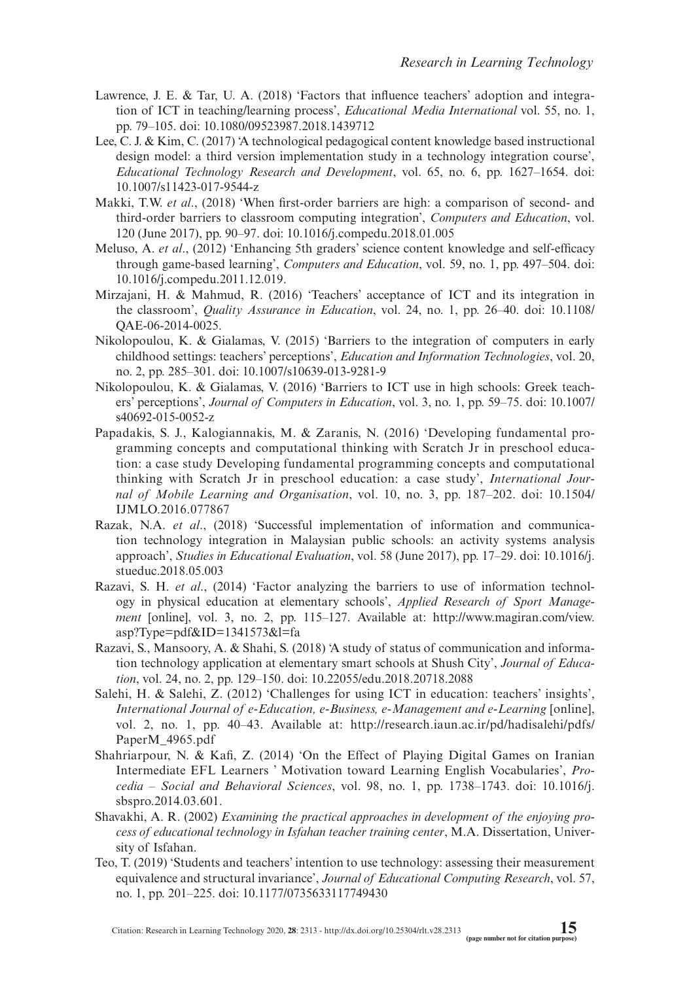- Lawrence, J. E. & Tar, U. A. (2018) 'Factors that influence teachers' adoption and integration of ICT in teaching/learning process', *Educational Media International* vol. 55, no. 1, pp. 79–105. [doi: 10.1080/09523987.2018.1439712](http://doi.org/10.1080/09523987.2018.1439712)
- Lee, C. J. & Kim, C. (2017) 'A technological pedagogical content knowledge based instructional design model: a third version implementation study in a technology integration course', *Educational Technology Research and Development*, vol. 65, no. 6, pp. 1627–1654. [doi:](http://dx.doi.org/10.1007/s11423-017-9544-z) [10.1007/s11423-017-9544-z](http://dx.doi.org/10.1007/s11423-017-9544-z)
- Makki, T.W. *et al*., (2018) 'When first-order barriers are high: a comparison of second- and third-order barriers to classroom computing integration', *Computers and Education*, vol. 120 (June 2017), pp. 90–97. [doi: 10.1016/j.compedu.2018.01.005](http://dx.doi.org/10.1016/j.compedu.2018.01.005)
- Meluso, A. *et al*., (2012) 'Enhancing 5th graders' science content knowledge and self-efficacy through game-based learning', *Computers and Education*, vol. 59, no. 1, pp. 497–504. [doi:](http://dx.doi.org/10.1016/j.compedu.2011.12.019) [10.1016/j.compedu.2011.12.019.](http://dx.doi.org/10.1016/j.compedu.2011.12.019)
- Mirzajani, H. & Mahmud, R. (2016) 'Teachers' acceptance of ICT and its integration in the classroom', *Quality Assurance in Education*, vol. 24, no. 1, pp. 26–40. [doi: 10.1108/](http://dx.doi.org/10.1108/QAE-06-2014-0025) [QAE-06-2014-0025.](http://dx.doi.org/10.1108/QAE-06-2014-0025)
- Nikolopoulou, K. & Gialamas, V. (2015) 'Barriers to the integration of computers in early childhood settings: teachers' perceptions', *Education and Information Technologies*, vol. 20, no. 2, pp. 285–301. [doi: 10.1007/s10639-013-9281-9](http://dx.doi.org/10.1007/s10639-013-9281-9)
- Nikolopoulou, K. & Gialamas, V. (2016) 'Barriers to ICT use in high schools: Greek teachers' perceptions', *Journal of Computers in Education*, vol. 3, no. 1, pp. 59–75. [doi: 10.1007/](http://dx.doi.org/10.1007/s40692-015-0052-z) [s40692-015-0052-z](http://dx.doi.org/10.1007/s40692-015-0052-z)
- Papadakis, S. J., Kalogiannakis, M. & Zaranis, N. (2016) 'Developing fundamental programming concepts and computational thinking with Scratch Jr in preschool education: a case study Developing fundamental programming concepts and computational thinking with Scratch Jr in preschool education: a case study', *International Journal of Mobile Learning and Organisation*, vol. 10, no. 3, pp. 187–202. [doi: 10.1504/](http://dx.doi.org/10.1504/IJMLO.2016.077867) [IJMLO.2016.077867](http://dx.doi.org/10.1504/IJMLO.2016.077867)
- Razak, N.A. *et al*., (2018) 'Successful implementation of information and communication technology integration in Malaysian public schools: an activity systems analysis approach', *Studies in Educational Evaluation*, vol. 58 (June 2017), pp. 17–29. [doi: 10.1016/j.](http://dx.doi.org/10.1016/j.stueduc.2018.05.003) [stueduc.2018.05.003](http://dx.doi.org/10.1016/j.stueduc.2018.05.003)
- Razavi, S. H. *et al*., (2014) 'Factor analyzing the barriers to use of information technology in physical education at elementary schools', *Applied Research of Sport Management* [online], vol. 3, no. 2, pp. 115–127. Available at: [http://www.magiran.com/view.](http://www.magiran.com/view.asp?Type=pdf&ID=1341573&l=fa) [asp?Type=pdf&ID=1341573&l=fa](http://www.magiran.com/view.asp?Type=pdf&ID=1341573&l=fa)
- Razavi, S., Mansoory, A. & Shahi, S. (2018) 'A study of status of communication and information technology application at elementary smart schools at Shush City', *Journal of Education*, vol. 24, no. 2, pp. 129–150. [doi: 10.22055/edu.2018.20718.2088](http://dx.doi.org/10.22055/edu.2018.20718.2088)
- Salehi, H. & Salehi, Z. (2012) 'Challenges for using ICT in education: teachers' insights', *International Journal of e-Education, e-Business, e-Management and e-Learning* [online], vol. 2, no. 1, pp. 40–43. Available at: [http://research.iaun.ac.ir/pd/hadisalehi/pdfs/](http://research.iaun.ac.ir/pd/hadisalehi/pdfs/PaperM_4965.pdf) [PaperM\\_4965.pdf](http://research.iaun.ac.ir/pd/hadisalehi/pdfs/PaperM_4965.pdf)
- Shahriarpour, N. & Kafi, Z. (2014) 'On the Effect of Playing Digital Games on Iranian Intermediate EFL Learners ' Motivation toward Learning English Vocabularies', *Procedia – Social and Behavioral Sciences*, vol. 98, no. 1, pp. 1738–1743. [doi: 10.1016/j.](http://dx.doi.org/10.1016/j.sbspro.2014.03.601) [sbspro.2014.03.601.](http://dx.doi.org/10.1016/j.sbspro.2014.03.601)
- Shavakhi, A. R. (2002) *Examining the practical approaches in development of the enjoying process of educational technology in Isfahan teacher training center*, M.A. Dissertation, University of Isfahan.
- Teo, T. (2019) 'Students and teachers' intention to use technology: assessing their measurement equivalence and structural invariance', *Journal of Educational Computing Research*, vol. 57, no. 1, pp. 201–225. [doi: 10.1177/0735633117749430](http://dx.doi.org/10.1177/0735633117749430)